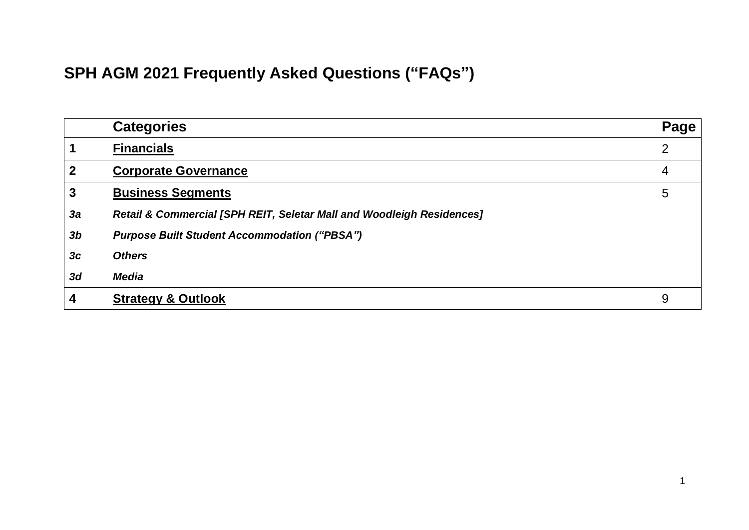# **SPH AGM 2021 Frequently Asked Questions ("FAQs")**

|                | <b>Categories</b>                                                     | Page           |
|----------------|-----------------------------------------------------------------------|----------------|
|                | <b>Financials</b>                                                     | $\overline{2}$ |
| $\mathbf{2}$   | <b>Corporate Governance</b>                                           | 4              |
| 3              | <b>Business Segments</b>                                              | 5              |
| 3a             | Retail & Commercial [SPH REIT, Seletar Mall and Woodleigh Residences] |                |
| 3 <sub>b</sub> | <b>Purpose Built Student Accommodation ("PBSA")</b>                   |                |
| 3c             | <b>Others</b>                                                         |                |
| 3d             | <b>Media</b>                                                          |                |
| 4              | <b>Strategy &amp; Outlook</b>                                         | 9              |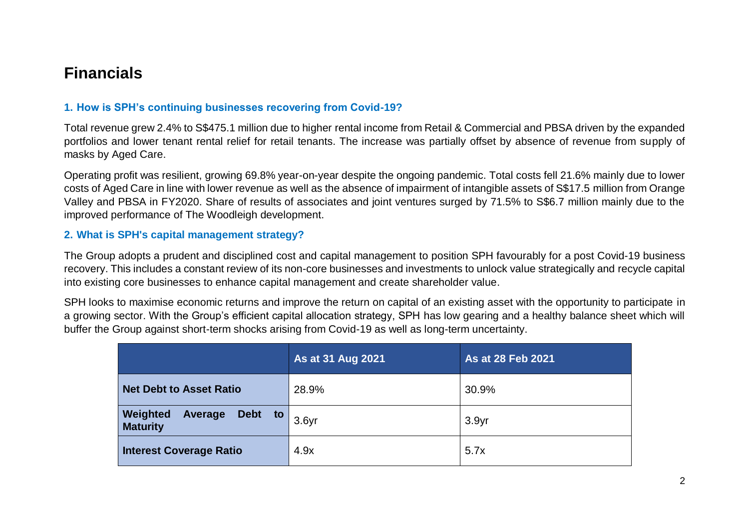## <span id="page-1-0"></span>**Financials**

#### **1. How is SPH's continuing businesses recovering from Covid-19?**

Total revenue grew 2.4% to S\$475.1 million due to higher rental income from Retail & Commercial and PBSA driven by the expanded portfolios and lower tenant rental relief for retail tenants. The increase was partially offset by absence of revenue from supply of masks by Aged Care.

Operating profit was resilient, growing 69.8% year-on-year despite the ongoing pandemic. Total costs fell 21.6% mainly due to lower costs of Aged Care in line with lower revenue as well as the absence of impairment of intangible assets of S\$17.5 million from Orange Valley and PBSA in FY2020. Share of results of associates and joint ventures surged by 71.5% to S\$6.7 million mainly due to the improved performance of The Woodleigh development.

#### **2. What is SPH's capital management strategy?**

The Group adopts a prudent and disciplined cost and capital management to position SPH favourably for a post Covid-19 business recovery. This includes a constant review of its non-core businesses and investments to unlock value strategically and recycle capital into existing core businesses to enhance capital management and create shareholder value.

SPH looks to maximise economic returns and improve the return on capital of an existing asset with the opportunity to participate in a growing sector. With the Group's efficient capital allocation strategy, SPH has low gearing and a healthy balance sheet which will buffer the Group against short-term shocks arising from Covid-19 as well as long-term uncertainty.

|                                                          | As at 31 Aug 2021 | As at 28 Feb 2021 |
|----------------------------------------------------------|-------------------|-------------------|
| Net Debt to Asset Ratio                                  | 28.9%             | 30.9%             |
| Weighted<br>Debt to<br><b>Average</b><br><b>Maturity</b> | 3.6 <sub>yr</sub> | 3.9 <sub>yr</sub> |
| <b>Interest Coverage Ratio</b>                           | 4.9x              | 5.7x              |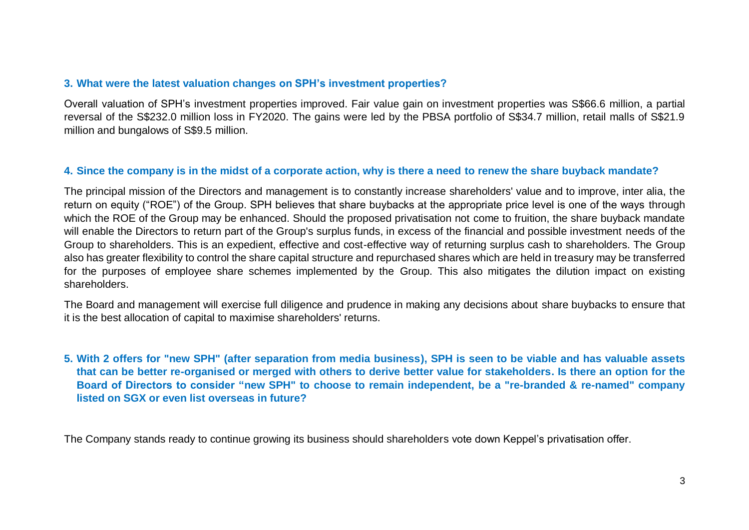#### **3. What were the latest valuation changes on SPH's investment properties?**

<span id="page-2-0"></span>Overall valuation of SPH's investment properties improved. Fair value gain on investment properties was S\$66.6 million, a partial reversal of the S\$232.0 million loss in FY2020. The gains were led by the PBSA portfolio of S\$34.7 million, retail malls of S\$21.9 million and bungalows of S\$9.5 million.

#### **4. Since the company is in the midst of a corporate action, why is there a need to renew the share buyback mandate?**

The principal mission of the Directors and management is to constantly increase shareholders' value and to improve, inter alia, the return on equity ("ROE") of the Group. SPH believes that share buybacks at the appropriate price level is one of the ways through which the ROE of the Group may be enhanced. Should the proposed privatisation not come to fruition, the share buyback mandate will enable the Directors to return part of the Group's surplus funds, in excess of the financial and possible investment needs of the Group to shareholders. This is an expedient, effective and cost-effective way of returning surplus cash to shareholders. The Group also has greater flexibility to control the share capital structure and repurchased shares which are held in treasury may be transferred for the purposes of employee share schemes implemented by the Group. This also mitigates the dilution impact on existing shareholders.

The Board and management will exercise full diligence and prudence in making any decisions about share buybacks to ensure that it is the best allocation of capital to maximise shareholders' returns.

**5. With 2 offers for "new SPH" (after separation from media business), SPH is seen to be viable and has valuable assets that can be better re-organised or merged with others to derive better value for stakeholders. Is there an option for the Board of Directors to consider "new SPH" to choose to remain independent, be a "re-branded & re-named" company listed on SGX or even list overseas in future?**

The Company stands ready to continue growing its business should shareholders vote down Keppel's privatisation offer.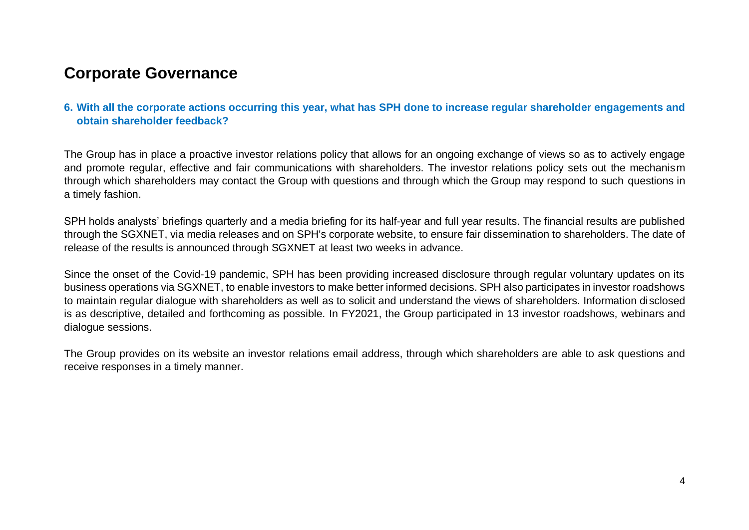## **Corporate Governance**

#### **6. With all the corporate actions occurring this year, what has SPH done to increase regular shareholder engagements and obtain shareholder feedback?**

The Group has in place a proactive investor relations policy that allows for an ongoing exchange of views so as to actively engage and promote regular, effective and fair communications with shareholders. The investor relations policy sets out the mechanism through which shareholders may contact the Group with questions and through which the Group may respond to such questions in a timely fashion.

SPH holds analysts' briefings quarterly and a media briefing for its half-year and full year results. The financial results are published through the SGXNET, via media releases and on SPH's corporate website, to ensure fair dissemination to shareholders. The date of release of the results is announced through SGXNET at least two weeks in advance.

Since the onset of the Covid-19 pandemic, SPH has been providing increased disclosure through regular voluntary updates on its business operations via SGXNET, to enable investors to make better informed decisions. SPH also participates in investor roadshows to maintain regular dialogue with shareholders as well as to solicit and understand the views of shareholders. Information disclosed is as descriptive, detailed and forthcoming as possible. In FY2021, the Group participated in 13 investor roadshows, webinars and dialogue sessions.

The Group provides on its website an investor relations email address, through which shareholders are able to ask questions and receive responses in a timely manner.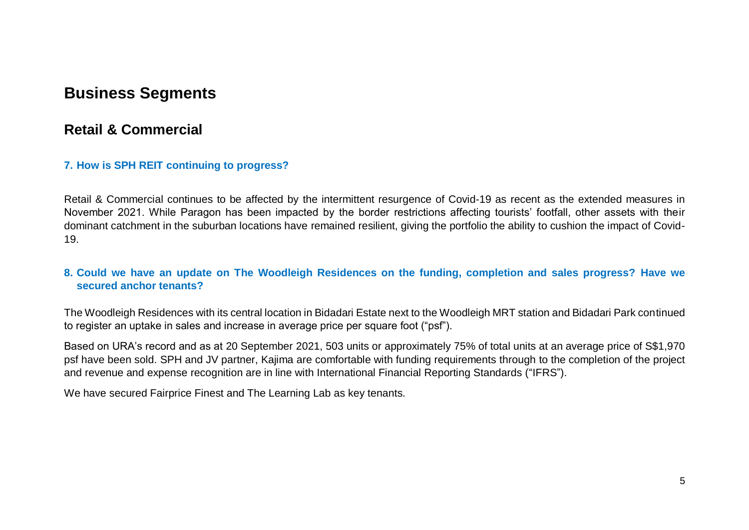## <span id="page-4-0"></span>**Business Segments**

### <span id="page-4-1"></span>**Retail & Commercial**

#### **7. How is SPH REIT continuing to progress?**

Retail & Commercial continues to be affected by the intermittent resurgence of Covid-19 as recent as the extended measures in November 2021. While Paragon has been impacted by the border restrictions affecting tourists' footfall, other assets with their dominant catchment in the suburban locations have remained resilient, giving the portfolio the ability to cushion the impact of Covid-19.

#### **8. Could we have an update on The Woodleigh Residences on the funding, completion and sales progress? Have we secured anchor tenants?**

The Woodleigh Residences with its central location in Bidadari Estate next to the Woodleigh MRT station and Bidadari Park continued to register an uptake in sales and increase in average price per square foot ("psf").

Based on URA's record and as at 20 September 2021, 503 units or approximately 75% of total units at an average price of S\$1,970 psf have been sold. SPH and JV partner, Kajima are comfortable with funding requirements through to the completion of the project and revenue and expense recognition are in line with International Financial Reporting Standards ("IFRS").

We have secured Fairprice Finest and The Learning Lab as key tenants.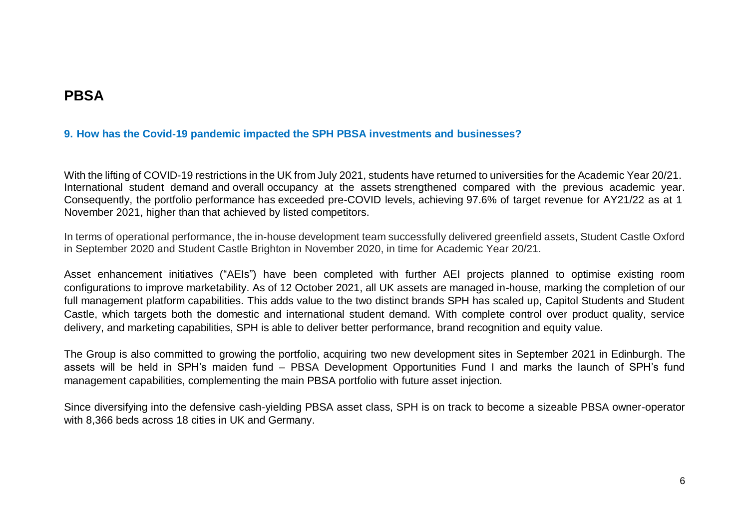## <span id="page-5-0"></span>**PBSA**

#### **9. How has the Covid-19 pandemic impacted the SPH PBSA investments and businesses?**

With the lifting of COVID-19 restrictions in the UK from July 2021, students have returned to universities for the Academic Year 20/21. International student demand and overall occupancy at the assets strengthened compared with the previous academic year. Consequently, the portfolio performance has exceeded pre-COVID levels, achieving 97.6% of target revenue for AY21/22 as at 1 November 2021, higher than that achieved by listed competitors.

In terms of operational performance, the in-house development team successfully delivered greenfield assets, Student Castle Oxford in September 2020 and Student Castle Brighton in November 2020, in time for Academic Year 20/21.

Asset enhancement initiatives ("AEIs") have been completed with further AEI projects planned to optimise existing room configurations to improve marketability. As of 12 October 2021, all UK assets are managed in-house, marking the completion of our full management platform capabilities. This adds value to the two distinct brands SPH has scaled up, Capitol Students and Student Castle, which targets both the domestic and international student demand. With complete control over product quality, service delivery, and marketing capabilities, SPH is able to deliver better performance, brand recognition and equity value.

The Group is also committed to growing the portfolio, acquiring two new development sites in September 2021 in Edinburgh. The assets will be held in SPH's maiden fund – PBSA Development Opportunities Fund I and marks the launch of SPH's fund management capabilities, complementing the main PBSA portfolio with future asset injection.

Since diversifying into the defensive cash-yielding PBSA asset class, SPH is on track to become a sizeable PBSA owner-operator with 8,366 beds across 18 cities in UK and Germany.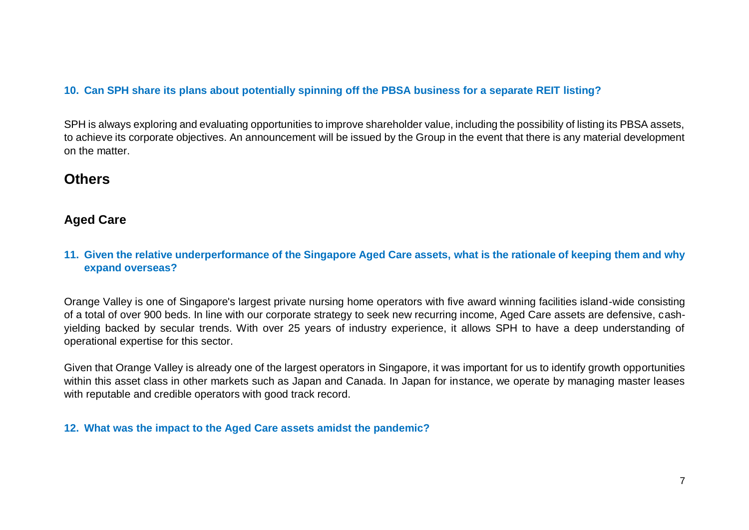#### **10. Can SPH share its plans about potentially spinning off the PBSA business for a separate REIT listing?**

SPH is always exploring and evaluating opportunities to improve shareholder value, including the possibility of listing its PBSA assets, to achieve its corporate objectives. An announcement will be issued by the Group in the event that there is any material development on the matter.

## **Others**

#### **Aged Care**

#### **11. Given the relative underperformance of the Singapore Aged Care assets, what is the rationale of keeping them and why expand overseas?**

Orange Valley is one of Singapore's largest private nursing home operators with five award winning facilities island-wide consisting of a total of over 900 beds. In line with our corporate strategy to seek new recurring income, Aged Care assets are defensive, cashyielding backed by secular trends. With over 25 years of industry experience, it allows SPH to have a deep understanding of operational expertise for this sector.

Given that Orange Valley is already one of the largest operators in Singapore, it was important for us to identify growth opportunities within this asset class in other markets such as Japan and Canada. In Japan for instance, we operate by managing master leases with reputable and credible operators with good track record.

#### **12. What was the impact to the Aged Care assets amidst the pandemic?**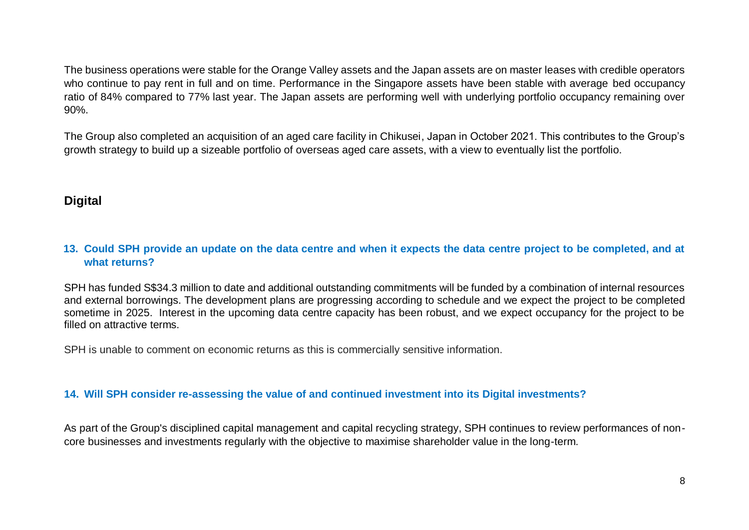The business operations were stable for the Orange Valley assets and the Japan assets are on master leases with credible operators who continue to pay rent in full and on time. Performance in the Singapore assets have been stable with average bed occupancy ratio of 84% compared to 77% last year. The Japan assets are performing well with underlying portfolio occupancy remaining over 90%.

The Group also completed an acquisition of an aged care facility in Chikusei, Japan in October 2021. This contributes to the Group's growth strategy to build up a sizeable portfolio of overseas aged care assets, with a view to eventually list the portfolio.

### **Digital**

#### **13. Could SPH provide an update on the data centre and when it expects the data centre project to be completed, and at what returns?**

SPH has funded S\$34.3 million to date and additional outstanding commitments will be funded by a combination of internal resources and external borrowings. The development plans are progressing according to schedule and we expect the project to be completed sometime in 2025. Interest in the upcoming data centre capacity has been robust, and we expect occupancy for the project to be filled on attractive terms.

SPH is unable to comment on economic returns as this is commercially sensitive information.

#### **14. Will SPH consider re-assessing the value of and continued investment into its Digital investments?**

As part of the Group's disciplined capital management and capital recycling strategy, SPH continues to review performances of noncore businesses and investments regularly with the objective to maximise shareholder value in the long-term.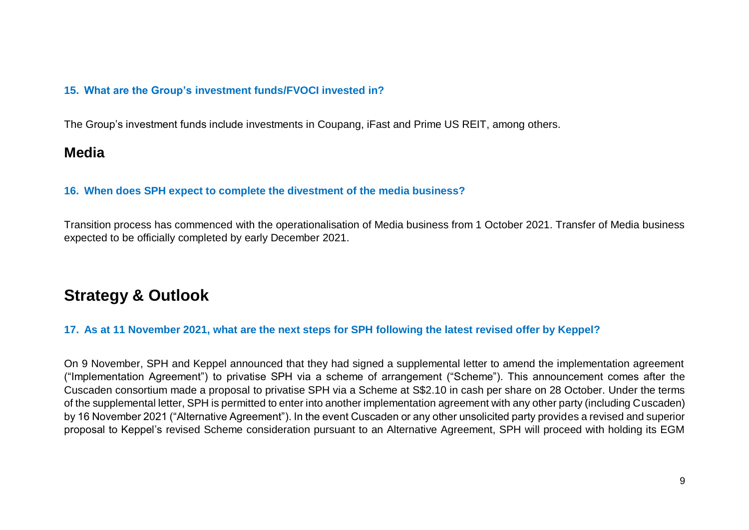#### **15. What are the Group's investment funds/FVOCI invested in?**

The Group's investment funds include investments in Coupang, iFast and Prime US REIT, among others.

### <span id="page-8-0"></span>**Media**

#### **16. When does SPH expect to complete the divestment of the media business?**

Transition process has commenced with the operationalisation of Media business from 1 October 2021. Transfer of Media business expected to be officially completed by early December 2021.

## **Strategy & Outlook**

#### **17. As at 11 November 2021, what are the next steps for SPH following the latest revised offer by Keppel?**

On 9 November, SPH and Keppel announced that they had signed a supplemental letter to amend the implementation agreement ("Implementation Agreement") to privatise SPH via a scheme of arrangement ("Scheme"). This announcement comes after the Cuscaden consortium made a proposal to privatise SPH via a Scheme at S\$2.10 in cash per share on 28 October. Under the terms of the supplemental letter, SPH is permitted to enter into another implementation agreement with any other party (including Cuscaden) by 16 November 2021 ("Alternative Agreement"). In the event Cuscaden or any other unsolicited party provides a revised and superior proposal to Keppel's revised Scheme consideration pursuant to an Alternative Agreement, SPH will proceed with holding its EGM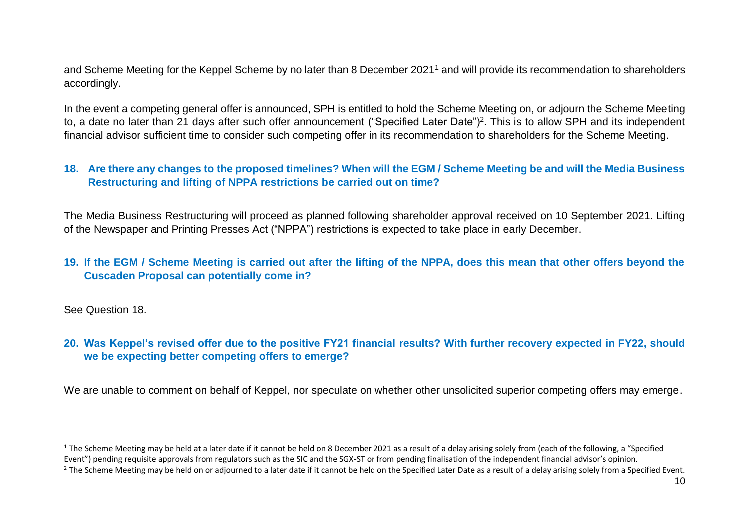and Scheme Meeting for the Keppel Scheme by no later than 8 December 2021<sup>1</sup> and will provide its recommendation to shareholders accordingly.

In the event a competing general offer is announced, SPH is entitled to hold the Scheme Meeting on, or adjourn the Scheme Meeting to, a date no later than 21 days after such offer announcement ("Specified Later Date")<sup>2</sup>. This is to allow SPH and its independent financial advisor sufficient time to consider such competing offer in its recommendation to shareholders for the Scheme Meeting.

#### **18. Are there any changes to the proposed timelines? When will the EGM / Scheme Meeting be and will the Media Business Restructuring and lifting of NPPA restrictions be carried out on time?**

The Media Business Restructuring will proceed as planned following shareholder approval received on 10 September 2021. Lifting of the Newspaper and Printing Presses Act ("NPPA") restrictions is expected to take place in early December.

#### **19. If the EGM / Scheme Meeting is carried out after the lifting of the NPPA, does this mean that other offers beyond the Cuscaden Proposal can potentially come in?**

See Question 18.

 $\overline{a}$ 

**20. Was Keppel's revised offer due to the positive FY21 financial results? With further recovery expected in FY22, should we be expecting better competing offers to emerge?**

We are unable to comment on behalf of Keppel, nor speculate on whether other unsolicited superior competing offers may emerge.

 $1$  The Scheme Meeting may be held at a later date if it cannot be held on 8 December 2021 as a result of a delay arising solely from (each of the following, a "Specified") Event") pending requisite approvals from regulators such as the SIC and the SGX-ST or from pending finalisation of the independent financial advisor's opinion.

<sup>&</sup>lt;sup>2</sup> The Scheme Meeting may be held on or adjourned to a later date if it cannot be held on the Specified Later Date as a result of a delay arising solely from a Specified Event.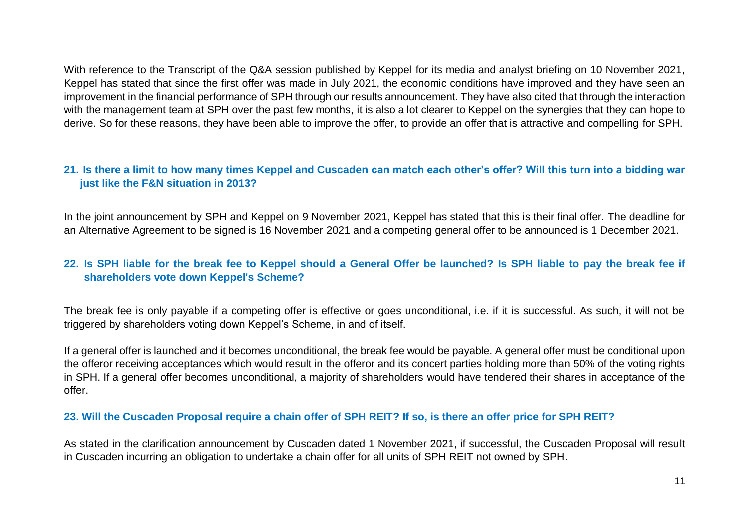With reference to the Transcript of the Q&A session published by Keppel for its media and analyst briefing on 10 November 2021, Keppel has stated that since the first offer was made in July 2021, the economic conditions have improved and they have seen an improvement in the financial performance of SPH through our results announcement. They have also cited that through the interaction with the management team at SPH over the past few months, it is also a lot clearer to Keppel on the synergies that they can hope to derive. So for these reasons, they have been able to improve the offer, to provide an offer that is attractive and compelling for SPH.

#### **21. Is there a limit to how many times Keppel and Cuscaden can match each other's offer? Will this turn into a bidding war just like the F&N situation in 2013?**

In the joint announcement by SPH and Keppel on 9 November 2021, Keppel has stated that this is their final offer. The deadline for an Alternative Agreement to be signed is 16 November 2021 and a competing general offer to be announced is 1 December 2021.

#### **22. Is SPH liable for the break fee to Keppel should a General Offer be launched? Is SPH liable to pay the break fee if shareholders vote down Keppel's Scheme?**

The break fee is only payable if a competing offer is effective or goes unconditional, i.e. if it is successful. As such, it will not be triggered by shareholders voting down Keppel's Scheme, in and of itself.

If a general offer is launched and it becomes unconditional, the break fee would be payable. A general offer must be conditional upon the offeror receiving acceptances which would result in the offeror and its concert parties holding more than 50% of the voting rights in SPH. If a general offer becomes unconditional, a majority of shareholders would have tendered their shares in acceptance of the offer.

#### **23. Will the Cuscaden Proposal require a chain offer of SPH REIT? If so, is there an offer price for SPH REIT?**

As stated in the clarification announcement by Cuscaden dated 1 November 2021, if successful, the Cuscaden Proposal will result in Cuscaden incurring an obligation to undertake a chain offer for all units of SPH REIT not owned by SPH.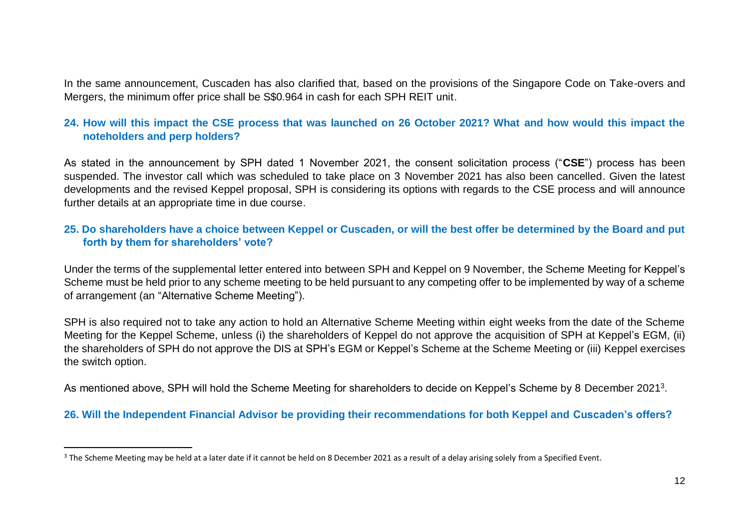In the same announcement, Cuscaden has also clarified that, based on the provisions of the Singapore Code on Take-overs and Mergers, the minimum offer price shall be S\$0.964 in cash for each SPH REIT unit.

#### **24. How will this impact the CSE process that was launched on 26 October 2021? What and how would this impact the noteholders and perp holders?**

As stated in the announcement by SPH dated 1 November 2021, the consent solicitation process ("**CSE**") process has been suspended. The investor call which was scheduled to take place on 3 November 2021 has also been cancelled. Given the latest developments and the revised Keppel proposal, SPH is considering its options with regards to the CSE process and will announce further details at an appropriate time in due course.

#### **25. Do shareholders have a choice between Keppel or Cuscaden, or will the best offer be determined by the Board and put forth by them for shareholders' vote?**

Under the terms of the supplemental letter entered into between SPH and Keppel on 9 November, the Scheme Meeting for Keppel's Scheme must be held prior to any scheme meeting to be held pursuant to any competing offer to be implemented by way of a scheme of arrangement (an "Alternative Scheme Meeting").

SPH is also required not to take any action to hold an Alternative Scheme Meeting within eight weeks from the date of the Scheme Meeting for the Keppel Scheme, unless (i) the shareholders of Keppel do not approve the acquisition of SPH at Keppel's EGM, (ii) the shareholders of SPH do not approve the DIS at SPH's EGM or Keppel's Scheme at the Scheme Meeting or (iii) Keppel exercises the switch option.

As mentioned above, SPH will hold the Scheme Meeting for shareholders to decide on Keppel's Scheme by 8 December 2021<sup>3</sup>.

#### **26. Will the Independent Financial Advisor be providing their recommendations for both Keppel and Cuscaden's offers?**

 $\overline{a}$ 

<sup>&</sup>lt;sup>3</sup> The Scheme Meeting may be held at a later date if it cannot be held on 8 December 2021 as a result of a delay arising solely from a Specified Event.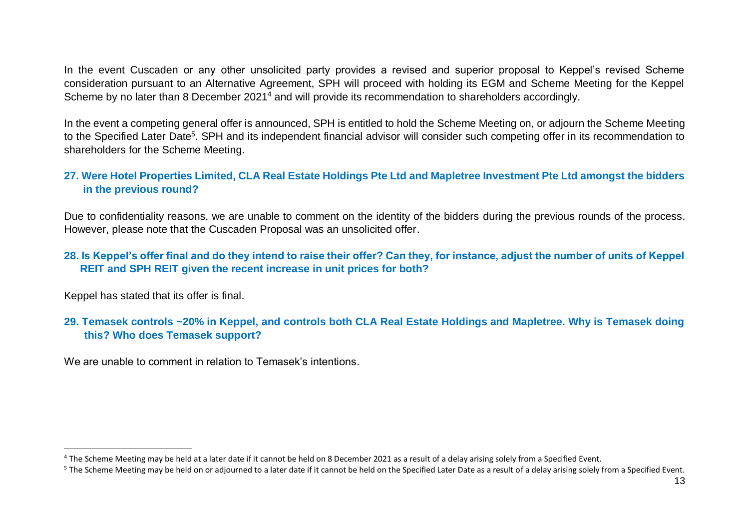In the event Cuscaden or any other unsolicited party provides a revised and superior proposal to Keppel's revised Scheme consideration pursuant to an Alternative Agreement, SPH will proceed with holding its EGM and Scheme Meeting for the Keppel Scheme by no later than 8 December 2021<sup>4</sup> and will provide its recommendation to shareholders accordingly.

In the event a competing general offer is announced, SPH is entitled to hold the Scheme Meeting on, or adjourn the Scheme Meeting to the Specified Later Date<sup>5</sup>. SPH and its independent financial advisor will consider such competing offer in its recommendation to shareholders for the Scheme Meeting.

#### **27. Were Hotel Properties Limited, CLA Real Estate Holdings Pte Ltd and Mapletree Investment Pte Ltd amongst the bidders in the previous round?**

Due to confidentiality reasons, we are unable to comment on the identity of the bidders during the previous rounds of the process. However, please note that the Cuscaden Proposal was an unsolicited offer.

#### **28. Is Keppel's offer final and do they intend to raise their offer? Can they, for instance, adjust the number of units of Keppel REIT and SPH REIT given the recent increase in unit prices for both?**

Keppel has stated that its offer is final.

 $\overline{\phantom{a}}$ 

#### **29. Temasek controls ~20% in Keppel, and controls both CLA Real Estate Holdings and Mapletree. Why is Temasek doing this? Who does Temasek support?**

We are unable to comment in relation to Temasek's intentions.

 $4$  The Scheme Meeting may be held at a later date if it cannot be held on 8 December 2021 as a result of a delay arising solely from a Specified Event.

<sup>&</sup>lt;sup>5</sup> The Scheme Meeting may be held on or adjourned to a later date if it cannot be held on the Specified Later Date as a result of a delay arising solely from a Specified Event.